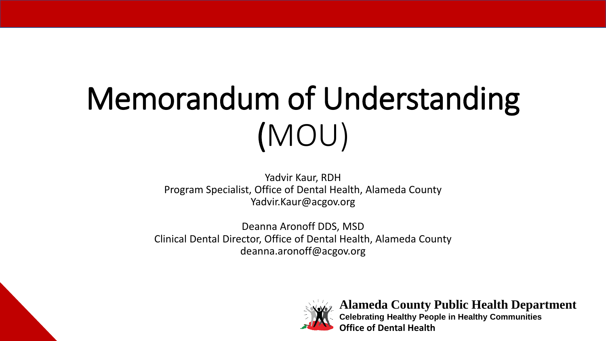# Memorandum of Understanding (MOU)

Yadvir Kaur, RDH Program Specialist, Office of Dental Health, Alameda County Yadvir.Kaur@acgov.org

Deanna Aronoff DDS, MSD Clinical Dental Director, Office of Dental Health, Alameda County deanna.aronoff@acgov.org



**Alameda County Public Health Department Celebrating Healthy People in Healthy Communities Office of Dental Health**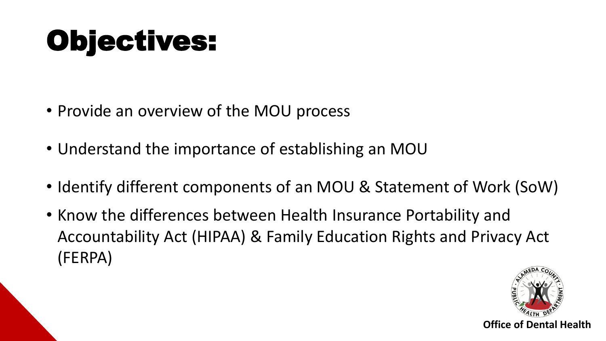## Objectives:

- Provide an overview of the MOU process
- Understand the importance of establishing an MOU
- Identify different components of an MOU & Statement of Work (SoW)
- Know the differences between Health Insurance Portability and Accountability Act (HIPAA) & Family Education Rights and Privacy Act (FERPA)

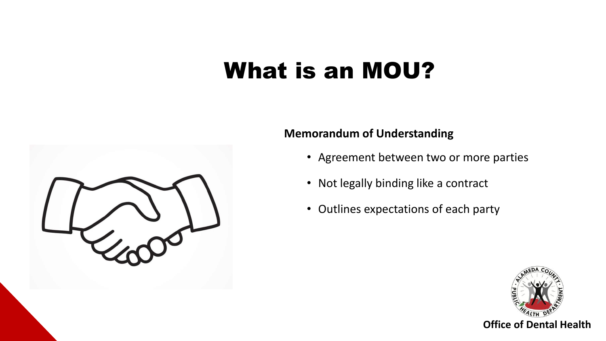#### What is an MOU?



- Agreement between two or more parties
- Not legally binding like a contract
- Outlines expectations of each party



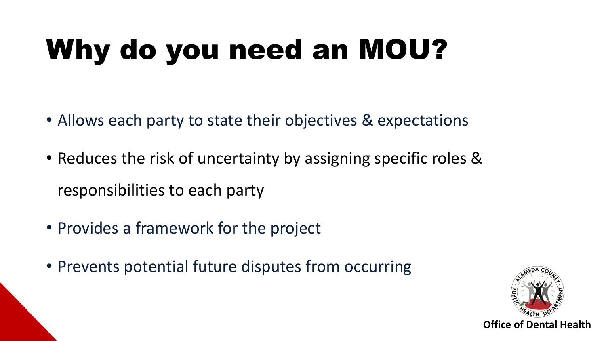# Why do you need an MOU?

- Allows each party to state their objectives & expectations
- Reduces the risk of uncertainty by assigning specific roles & responsibilities to each party
- Provides a framework for the project
- Prevents potential future disputes from occurring

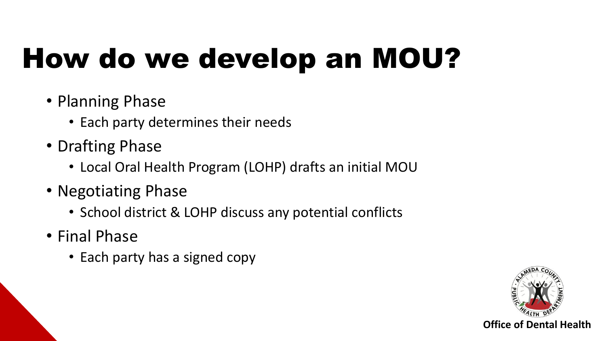# How do we develop an MOU?

- Planning Phase
	- Each party determines their needs
- Drafting Phase
	- Local Oral Health Program (LOHP) drafts an initial MOU
- Negotiating Phase
	- School district & LOHP discuss any potential conflicts
- Final Phase
	- Each party has a signed copy

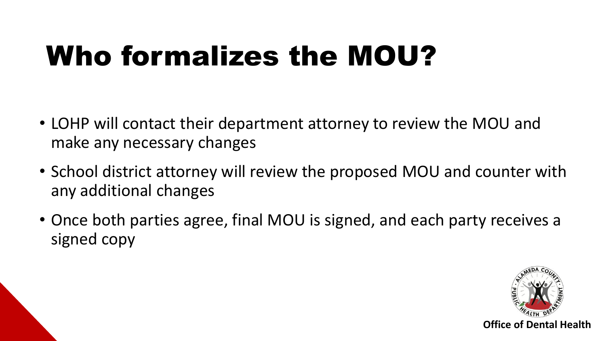### Who formalizes the MOU?

- LOHP will contact their department attorney to review the MOU and make any necessary changes
- School district attorney will review the proposed MOU and counter with any additional changes
- Once both parties agree, final MOU is signed, and each party receives a signed copy

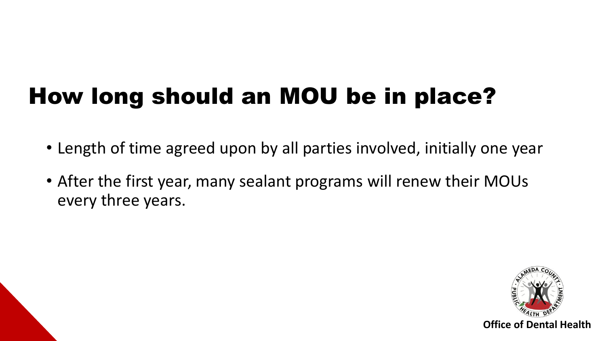#### How long should an MOU be in place?

- Length of time agreed upon by all parties involved, initially one year
- After the first year, many sealant programs will renew their MOUs every three years.

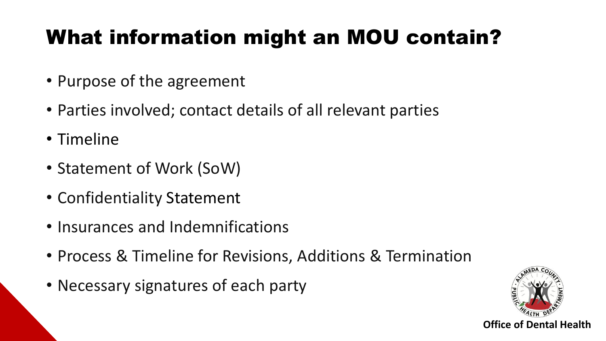#### What information might an MOU contain?

- Purpose of the agreement
- Parties involved; contact details of all relevant parties
- Timeline
- Statement of Work (SoW)
- Confidentiality Statement
- Insurances and Indemnifications
- Process & Timeline for Revisions, Additions & Termination
- Necessary signatures of each party

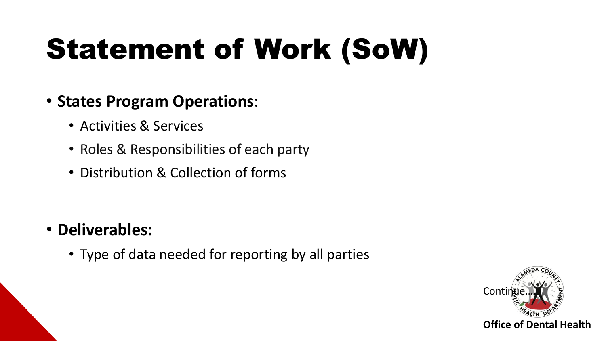# Statement of Work (SoW)

- **States Program Operations**:
	- Activities & Services
	- Roles & Responsibilities of each party
	- Distribution & Collection of forms

- **Deliverables:** 
	- Type of data needed for reporting by all parties

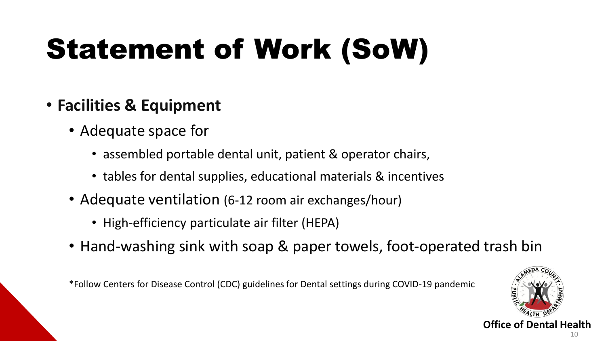# Statement of Work (SoW)

- **Facilities & Equipment** 
	- Adequate space for
		- assembled portable dental unit, patient & operator chairs,
		- tables for dental supplies, educational materials & incentives
	- Adequate ventilation (6-12 room air exchanges/hour)
		- High-efficiency particulate air filter (HEPA)
	- Hand-washing sink with soap & paper towels, foot-operated trash bin

\*Follow Centers for Disease Control (CDC) guidelines for Dental settings during COVID-19 pandemic

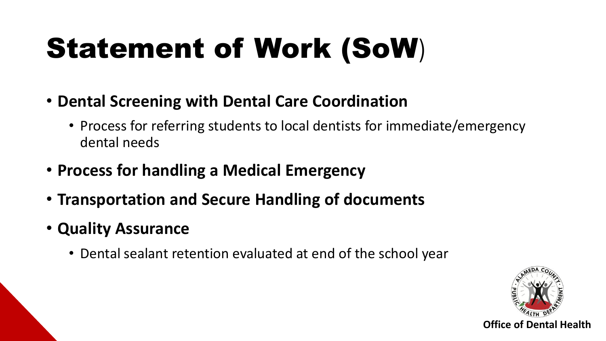# Statement of Work (SoW)

- **Dental Screening with Dental Care Coordination** 
	- Process for referring students to local dentists for immediate/emergency dental needs
- **Process for handling a Medical Emergency**
- **Transportation and Secure Handling of documents**
- **Quality Assurance** 
	- Dental sealant retention evaluated at end of the school year

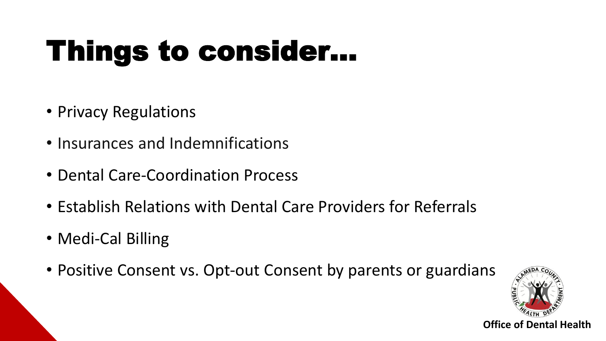# Things to consider…

- Privacy Regulations
- Insurances and Indemnifications
- Dental Care-Coordination Process
- Establish Relations with Dental Care Providers for Referrals
- Medi-Cal Billing
- Positive Consent vs. Opt-out Consent by parents or guardians

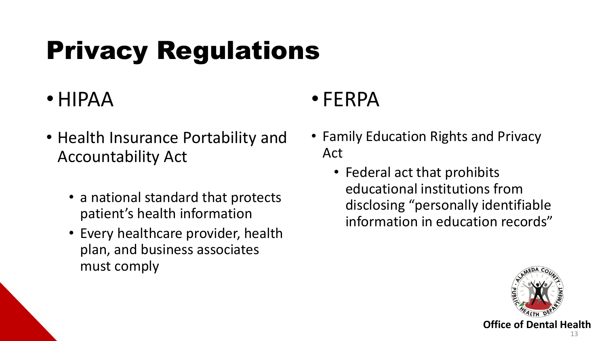### Privacy Regulations

#### •HIPAA

- Health Insurance Portability and Accountability Act
	- a national standard that protects patient's health information
	- Every healthcare provider, health plan, and business associates must comply

#### • FERPA

- Family Education Rights and Privacy Act
	- Federal act that prohibits educational institutions from disclosing "personally identifiable information in education records"

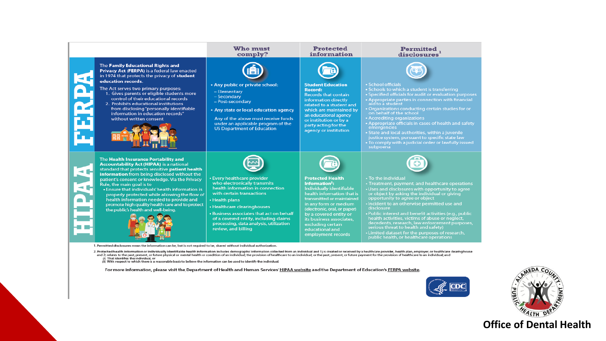#### The Family Educational Rights and Privacy Act (FERPA) is a federal law enacted in 1974 that protects the privacy of student education records. The Act serves two primary purposes: 1. Gives parents or eligible students more control of their educational records 2. Prohibits educational institutions from disclosing"personally identifiable information in education records" without written consent The Health Insurance Portability and

Rule, the main goal is to

**Accountability Act (HIPAA) is a national** standard that protects sensitive patient health information from being disclosed without the

the public's health and well-being.

patient's consent or knowledge. Via the Privacy

. Ensure that individuals' health information is

health information needed to provide and

promote high quality health care and to protect

properly protected while allowing the flow of

#### Who must comply?



under an applicable program of the

**US Department of Education** 

· Every healthcare provider

with certain transactions

• Healthcare clearinghouses

review, and billing

• Health plans

who electronically transmits

health information in connection

• Business associates that act on behalf

of a covered entity, including claims

processing, data analysis, utilization

• Any public or private school:

- Elementary
- Secondary
- Post-secondary

• Any state or local education agency Any of the above must receive funds

#### **Protected** information

**Student Education** 

**Records that contain** 

information directly

related to a student and

which are maintained by

an educational agency

or institution or by a

agency or institution

party acting for the

**Protected Health** 

Individually identifiable

health information that is

transmitted or maintained

in any form or medium

(electronic, oral, or paper)

by a covered entity or

its business associates,

employment records

excluding certain

educational and

Information<sup>2</sup>:

Record:





· School officials

- Schools to which a student is transferring • Specified officials for audit or evaluation purposes • Appropriate parties in connection with financial aid to a student
- . Organizations conducting certain studies for or on behalf of the school
- Accrediting organizations

• Appropriate officials in cases of health and safety<br>emergencies

• State and local authorities, within a juvenile justice system, pursuant to specific state law • To comply with a judicial order or lawfully issued subpoena



• To the individual • Treatment, payment, and healthcare operations • Uses and disclosures with opportunity to agree or object by asking the individual or giving opportunity to agree or object

• Incident to an otherwise permitted use and disclosure

Public interest and benefit activities (e.g., public health activities, victims of abuse or neglect, decedents, research, law enforcement purposes,<br>serious threat to health and safety)

• Limited dataset for the purposes of research, public health, or healthcare operations

1. Permitted disclosures mean the information can be, but is not required to be, shared without individual authorization.

2. Protected health information or individually identifiable health information includes demographic information collected from an individual and 1) is created or received by a healthcare provider, health plan, employer, o and 2) relates to the past, present, or future physical or mental health or condition of an individual; the provision of healthcare to an individual; or the past, present, or future payment for the provision of healthcare (i) That identifies the individual, or<br>(ii) With respect to which there is a reasonable basis to believe the information can be used to identify the individual.

For more information, please visit the Department of Health and Human Services' HIPAA website and the Department of Education's FERPA website.



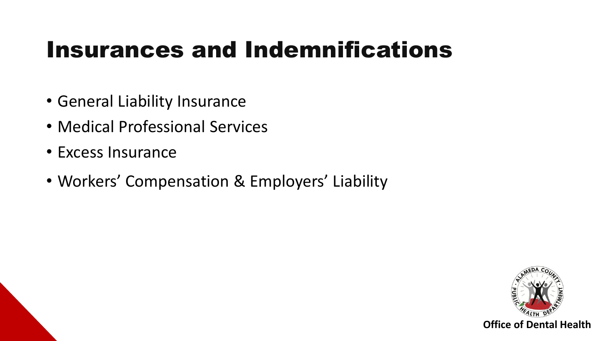#### Insurances and Indemnifications

- General Liability Insurance
- Medical Professional Services
- Excess Insurance
- Workers' Compensation & Employers' Liability